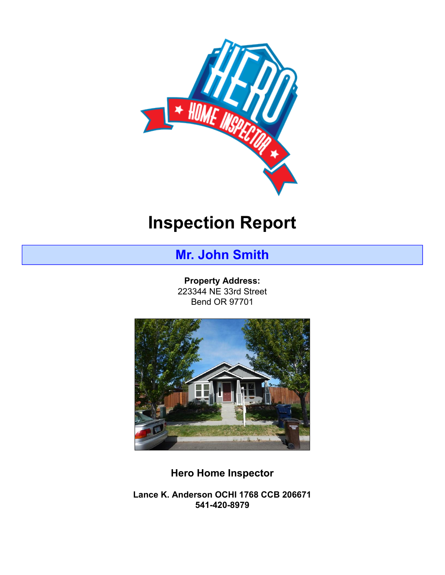

# **Inspection Report**

# **Mr. John Smith**

**Property Address:** 223344 NE 33rd Street Bend OR 97701



**Hero Home Inspector**

**Lance K. Anderson OCHI 1768 CCB 206671 541-420-8979**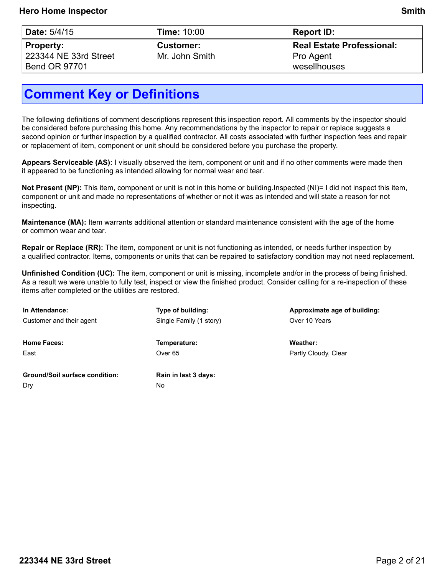| Date: 5/4/15 |  |  |
|--------------|--|--|
|--------------|--|--|

**Property:** 223344 NE 33rd Street Bend OR 97701

**Time:** 10:00 **Report ID:** 

**Customer:** Mr. John Smith **Real Estate Professional:** Pro Agent wesellhouses

# **Comment Key or Definitions**

The following definitions of comment descriptions represent this inspection report. All comments by the inspector should be considered before purchasing this home. Any recommendations by the inspector to repair or replace suggests a second opinion or further inspection by a qualified contractor. All costs associated with further inspection fees and repair or replacement of item, component or unit should be considered before you purchase the property.

**Appears Serviceable (AS):** I visually observed the item, component or unit and if no other comments were made then it appeared to be functioning as intended allowing for normal wear and tear.

**Not Present (NP):** This item, component or unit is not in this home or building.Inspected (NI)= I did not inspect this item, component or unit and made no representations of whether or not it was as intended and will state a reason for not inspecting.

**Maintenance (MA):** Item warrants additional attention or standard maintenance consistent with the age of the home or common wear and tear.

**Repair or Replace (RR):** The item, component or unit is not functioning as intended, or needs further inspection by a qualified contractor. Items, components or units that can be repaired to satisfactory condition may not need replacement.

**Unfinished Condition (UC):** The item, component or unit is missing, incomplete and/or in the process of being finished. As a result we were unable to fully test, inspect or view the finished product. Consider calling for a re-inspection of these items after completed or the utilities are restored.

| In Attendance:                        | Type of building:       | Approximate age of building: |
|---------------------------------------|-------------------------|------------------------------|
| Customer and their agent              | Single Family (1 story) | Over 10 Years                |
| <b>Home Faces:</b>                    | Temperature:            | Weather:                     |
| East                                  | Over <sub>65</sub>      | Partly Cloudy, Clear         |
| <b>Ground/Soil surface condition:</b> | Rain in last 3 days:    |                              |
| Dry                                   | No                      |                              |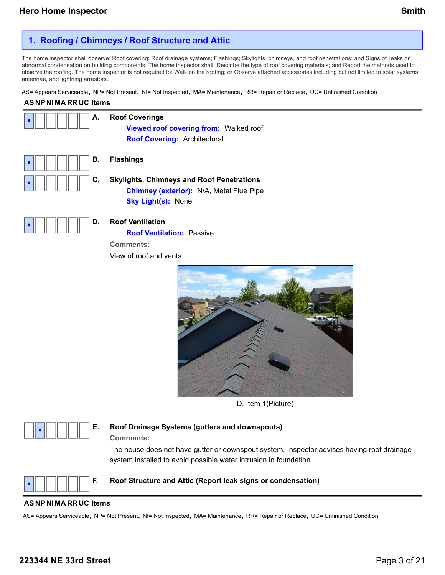## **1. Roofing / Chimneys / Roof Structure and Attic**

The home inspector shall observe: Roof covering; Roof drainage systems; Flashings; Skylights, chimneys, and roof penetrations; and Signs of' leaks or abnormal condensation on building components. The home inspector shall: Describe the type of roof covering materials; and Report the methods used to observe the roofing. The home inspector is not required to: Walk on the roofing; or Observe attached accessories including but not limited to solar systems, antennae, and lightning arrestors.

AS= Appears Serviceable, NP= Not Present, NI= Not Inspected, MA= Maintenance, RR= Repair or Replace, UC= Unfinished Condition

### **AS NP NI MA RR UC Items**

| А. | <b>Roof Coverings</b><br>Viewed roof covering from: Walked roof<br><b>Roof Covering: Architectural</b>                           |
|----|----------------------------------------------------------------------------------------------------------------------------------|
| В. | <b>Flashings</b>                                                                                                                 |
| C. | <b>Skylights, Chimneys and Roof Penetrations</b><br><b>Chimney (exterior):</b> N/A, Metal Flue Pipe<br><b>Sky Light(s): None</b> |
| D. | <b>Roof Ventilation</b><br><b>Roof Ventilation: Passive</b><br><b>Comments:</b><br>View of roof and vents.                       |



D. Item 1(Picture)



### **E. Roof Drainage Systems (gutters and downspouts) Comments:**

The house does not have gutter or downspout system. Inspector advises having roof drainage system installed to avoid possible water intrusion in foundation.



#### **F. Roof Structure and Attic (Report leak signs or condensation)**

#### **AS NP NI MA RR UC Items**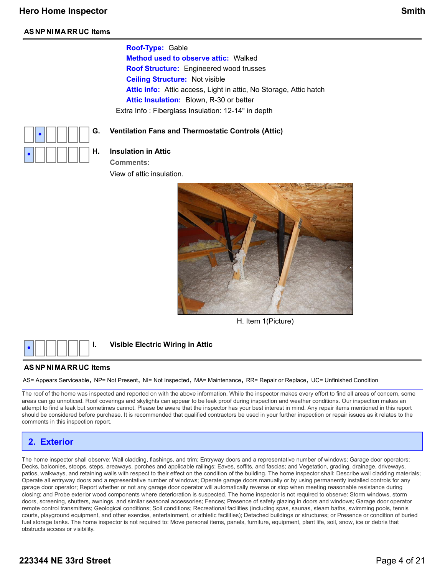**Roof-Type:** Gable

**Method used to observe attic:** Walked **Roof Structure:** Engineered wood trusses **Ceiling Structure:** Not visible **Attic info:** Attic access, Light in attic, No Storage, Attic hatch **Attic Insulation:** Blown, R-30 or better Extra Info : Fiberglass Insulation: 12-14" in depth

#### **G. Ventilation Fans and Thermostatic Controls (Attic)**



### **H. Insulation in Attic**

**Comments:**

View of attic insulation.



H. Item 1(Picture)



### **I. Visible Electric Wiring in Attic**

#### **AS NP NI MA RR UC Items**

AS= Appears Serviceable, NP= Not Present, NI= Not Inspected, MA= Maintenance, RR= Repair or Replace, UC= Unfinished Condition

The roof of the home was inspected and reported on with the above information. While the inspector makes every effort to find all areas of concern, some areas can go unnoticed. Roof coverings and skylights can appear to be leak proof during inspection and weather conditions. Our inspection makes an attempt to find a leak but sometimes cannot. Please be aware that the inspector has your best interest in mind. Any repair items mentioned in this report should be considered before purchase. It is recommended that qualified contractors be used in your further inspection or repair issues as it relates to the comments in this inspection report.

### **2. Exterior**

The home inspector shall observe: Wall cladding, flashings, and trim; Entryway doors and a representative number of windows; Garage door operators; Decks, balconies, stoops, steps, areaways, porches and applicable railings; Eaves, soffits, and fascias; and Vegetation, grading, drainage, driveways, patios, walkways, and retaining walls with respect to their effect on the condition of the building. The home inspector shall: Describe wall cladding materials; Operate all entryway doors and a representative number of windows; Operate garage doors manually or by using permanently installed controls for any garage door operator; Report whether or not any garage door operator will automatically reverse or stop when meeting reasonable resistance during closing; and Probe exterior wood components where deterioration is suspected. The home inspector is not required to observe: Storm windows, storm doors, screening, shutters, awnings, and similar seasonal accessories; Fences; Presence of safety glazing in doors and windows; Garage door operator remote control transmitters; Geological conditions; Soil conditions; Recreational facilities (including spas, saunas, steam baths, swimming pools, tennis courts, playground equipment, and other exercise, entertainment, or athletic facilities); Detached buildings or structures; or Presence or condition of buried fuel storage tanks. The home inspector is not required to: Move personal items, panels, furniture, equipment, plant life, soil, snow, ice or debris that obstructs access or visibility.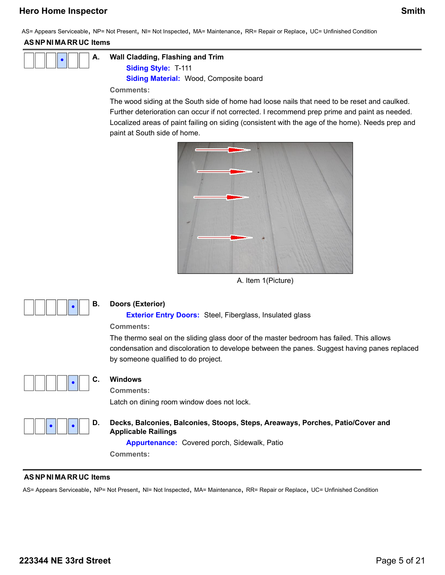AS= Appears Serviceable, NP= Not Present, NI= Not Inspected, MA= Maintenance, RR= Repair or Replace, UC= Unfinished Condition

### **AS NP NI MA RR UC Items**



**A. Wall Cladding, Flashing and Trim**

**Siding Style:** T-111 **Siding Material:** Wood, Composite board

**Comments:**

The wood siding at the South side of home had loose nails that need to be reset and caulked. Further deterioration can occur if not corrected. I recommend prep prime and paint as needed. Localized areas of paint failing on siding (consistent with the age of the home). Needs prep and paint at South side of home.



A. Item 1(Picture)



### **B. Doors (Exterior)**

**Exterior Entry Doors:** Steel, Fiberglass, Insulated glass

### **Comments:**

The thermo seal on the sliding glass door of the master bedroom has failed. This allows condensation and discoloration to develope between the panes. Suggest having panes replaced by someone qualified to do project.



### **C. Windows**

**Comments:**

Latch on dining room window does not lock.



**D. Decks, Balconies, Balconies, Stoops, Steps, Areaways, Porches, Patio/Cover and Applicable Railings**

**Appurtenance:** Covered porch, Sidewalk, Patio

**Comments:**

### **AS NP NI MA RR UC Items**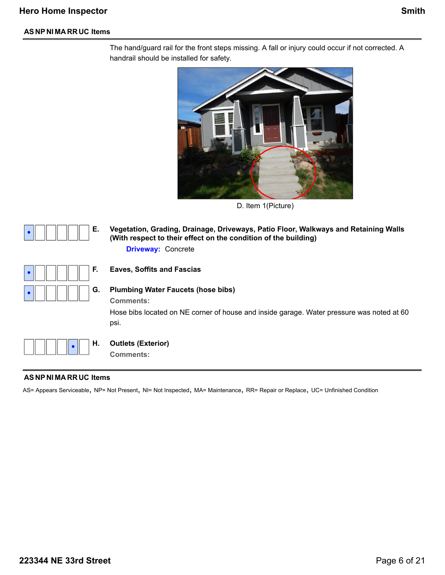The hand/guard rail for the front steps missing. A fall or injury could occur if not corrected. A handrail should be installed for safety.



D. Item 1(Picture)



**E. Vegetation, Grading, Drainage, Driveways, Patio Floor, Walkways and Retaining Walls (With respect to their effect on the condition of the building) Driveway:** Concrete



### **F. Eaves, Soffits and Fascias**

### **G. Plumbing Water Faucets (hose bibs)**

**Comments:**

Hose bibs located on NE corner of house and inside garage. Water pressure was noted at 60 psi.



#### **H. Outlets (Exterior)**

**Comments:**

#### **AS NP NI MA RR UC Items**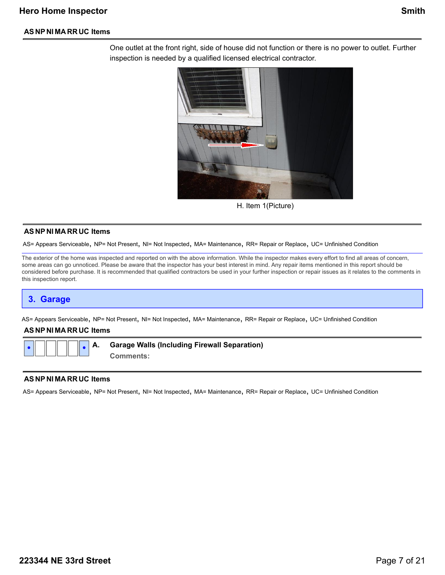One outlet at the front right, side of house did not function or there is no power to outlet. Further inspection is needed by a qualified licensed electrical contractor.



H. Item 1(Picture)

#### **AS NP NI MA RR UC Items**

AS= Appears Serviceable, NP= Not Present, NI= Not Inspected, MA= Maintenance, RR= Repair or Replace, UC= Unfinished Condition

The exterior of the home was inspected and reported on with the above information. While the inspector makes every effort to find all areas of concern, some areas can go unnoticed. Please be aware that the inspector has your best interest in mind. Any repair items mentioned in this report should be considered before purchase. It is recommended that qualified contractors be used in your further inspection or repair issues as it relates to the comments in this inspection report.

### **3. Garage**

AS= Appears Serviceable, NP= Not Present, NI= Not Inspected, MA= Maintenance, RR= Repair or Replace, UC= Unfinished Condition

#### **AS NP NI MA RR UC Items**

**• •**

**A. Garage Walls (Including Firewall Separation)**

**Comments:**

#### **AS NP NI MA RR UC Items**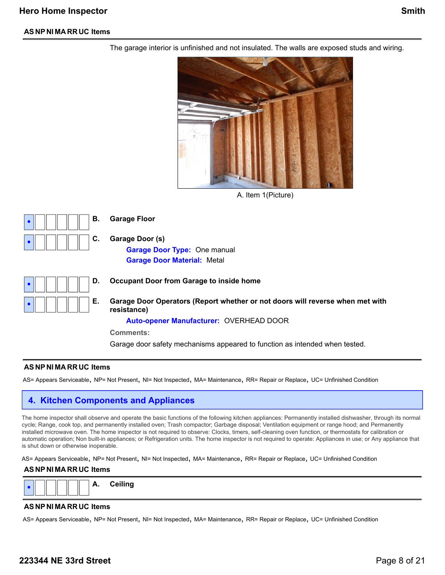

The garage interior is unfinished and not insulated. The walls are exposed studs and wiring.

A. Item 1(Picture)



**B. Garage Floor**

**C. Garage Door (s) Garage Door Type:** One manual

|  | D. |
|--|----|
|  | E. |

**D. Occupant Door from Garage to inside home**

**Garage Door Material:** Metal

**E. Garage Door Operators (Report whether or not doors will reverse when met with resistance)**

**Auto-opener Manufacturer:** OVERHEAD DOOR

**Comments:**

Garage door safety mechanisms appeared to function as intended when tested.

#### **AS NP NI MA RR UC Items**

AS= Appears Serviceable, NP= Not Present, NI= Not Inspected, MA= Maintenance, RR= Repair or Replace, UC= Unfinished Condition

### **4. Kitchen Components and Appliances**

The home inspector shall observe and operate the basic functions of the following kitchen appliances: Permanently installed dishwasher, through its normal cycle; Range, cook top, and permanently installed oven; Trash compactor; Garbage disposal; Ventilation equipment or range hood; and Permanently installed microwave oven. The home inspector is not required to observe: Clocks, timers, self-cleaning oven function, or thermostats for calibration or automatic operation; Non built-in appliances; or Refrigeration units. The home inspector is not required to operate: Appliances in use; or Any appliance that is shut down or otherwise inoperable.

AS= Appears Serviceable, NP= Not Present, NI= Not Inspected, MA= Maintenance, RR= Repair or Replace, UC= Unfinished Condition

#### **AS NP NI MA RR UC Items**



#### **AS NP NI MA RR UC Items**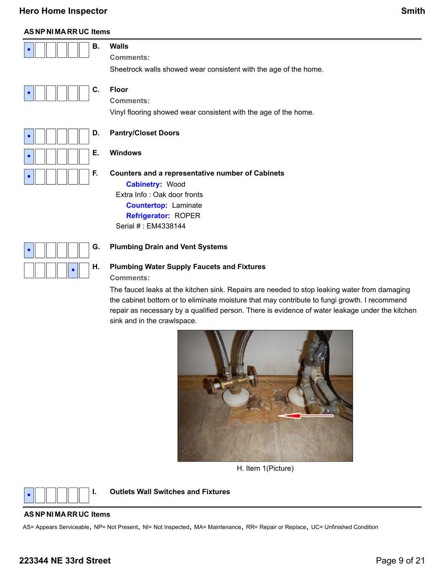### **AS NP NI MA RR UC Items**

| $\begin{array}{ c c c c c }\hline \textbf{.} & \textbf{.} & \textbf{.} \end{array}$ [12] $\begin{array}{ c c c c c }\hline \textbf{.} & \textbf{.} & \textbf{.} \end{array}$ |                                                                  |
|------------------------------------------------------------------------------------------------------------------------------------------------------------------------------|------------------------------------------------------------------|
|                                                                                                                                                                              | <b>Comments:</b>                                                 |
|                                                                                                                                                                              | Sheetrock walls showed wear consistent with the age of the home. |

|--|--|

**•**

**•**

**•**

**•**

**•**

**C. Floor**

**Comments:**

Vinyl flooring showed wear consistent with the age of the home.

### **D. Pantry/Closet Doors**

### **E. Windows**

#### **F. Counters and a representative number of Cabinets**

**Cabinetry:** Wood Extra Info : Oak door fronts **Countertop:** Laminate **Refrigerator:** ROPER Serial # : EM4338144

### **G. Plumbing Drain and Vent Systems**

### **H. Plumbing Water Supply Faucets and Fixtures Comments:**

The faucet leaks at the kitchen sink. Repairs are needed to stop leaking water from damaging the cabinet bottom or to eliminate moisture that may contribute to fungi growth. I recommend repair as necessary by a qualified person. There is evidence of water leakage under the kitchen sink and in the crawlspace.



H. Item 1(Picture)



**I. Outlets Wall Switches and Fixtures**

#### **AS NP NI MA RR UC Items**

AS= Appears Serviceable, NP= Not Present, NI= Not Inspected, MA= Maintenance, RR= Repair or Replace, UC= Unfinished Condition

### **223344 NE 33rd Street** Page 9 of 21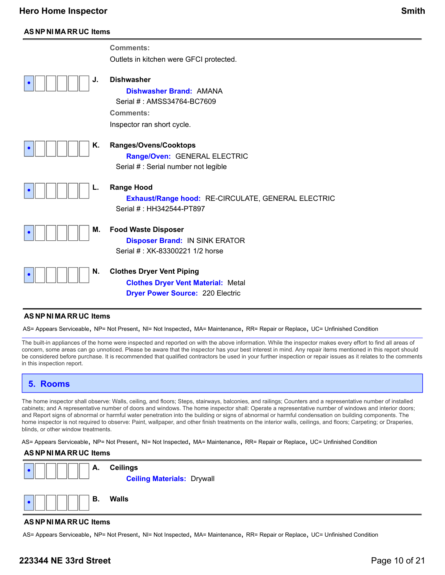**•**

**•**

**•**

**•**

**•**

|    | <b>Comments:</b><br>Outlets in kitchen were GFCI protected.                                                                         |
|----|-------------------------------------------------------------------------------------------------------------------------------------|
| J. | <b>Dishwasher</b><br><b>Dishwasher Brand: AMANA</b><br>Serial #: AMSS34764-BC7609<br><b>Comments:</b><br>Inspector ran short cycle. |
| Κ. | Ranges/Ovens/Cooktops<br>Range/Oven: GENERAL ELECTRIC<br>Serial # : Serial number not legible                                       |
| L. | <b>Range Hood</b><br><b>Exhaust/Range hood: RE-CIRCULATE, GENERAL ELECTRIC</b><br>Serial # : HH342544-PT897                         |
| М. | <b>Food Waste Disposer</b><br><b>Disposer Brand: IN SINK ERATOR</b><br>Serial #: XK-83300221 1/2 horse                              |
| N. | <b>Clothes Dryer Vent Piping</b><br><b>Clothes Dryer Vent Material: Metal</b>                                                       |

**Dryer Power Source:** 220 Electric

#### **AS NP NI MA RR UC Items**

AS= Appears Serviceable, NP= Not Present, NI= Not Inspected, MA= Maintenance, RR= Repair or Replace, UC= Unfinished Condition

The built-in appliances of the home were inspected and reported on with the above information. While the inspector makes every effort to find all areas of concern, some areas can go unnoticed. Please be aware that the inspector has your best interest in mind. Any repair items mentioned in this report should be considered before purchase. It is recommended that qualified contractors be used in your further inspection or repair issues as it relates to the comments in this inspection report.

### **5. Rooms**

The home inspector shall observe: Walls, ceiling, and floors; Steps, stairways, balconies, and railings; Counters and a representative number of installed cabinets; and A representative number of doors and windows. The home inspector shall: Operate a representative number of windows and interior doors; and Report signs of abnormal or harmful water penetration into the building or signs of abnormal or harmful condensation on building components. The home inspector is not required to observe: Paint, wallpaper, and other finish treatments on the interior walls, ceilings, and floors; Carpeting; or Draperies, blinds, or other window treatments.

AS= Appears Serviceable, NP= Not Present, NI= Not Inspected, MA= Maintenance, RR= Repair or Replace, UC= Unfinished Condition

#### **AS NP NI MA RR UC Items**



#### **AS NP NI MA RR UC Items**

AS= Appears Serviceable, NP= Not Present, NI= Not Inspected, MA= Maintenance, RR= Repair or Replace, UC= Unfinished Condition

### **223344 NE 33rd Street** Page 10 of 21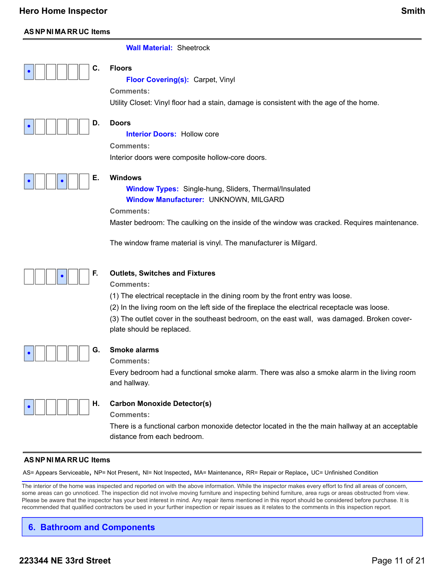### **AS NP NI MA RR UC Items**

#### **Wall Material:** Sheetrock



**Floor Covering(s):** Carpet, Vinyl

**Comments:**

Utility Closet: Vinyl floor had a stain, damage is consistent with the age of the home.



### **D. Doors**

**Interior Doors: Hollow core** 

**Comments:**

Interior doors were composite hollow-core doors.



### **E. Windows**

**Window Types:** Single-hung, Sliders, Thermal/Insulated **Window Manufacturer:** UNKNOWN, MILGARD

**Comments:**

Master bedroom: The caulking on the inside of the window was cracked. Requires maintenance.

The window frame material is vinyl. The manufacturer is Milgard.



### **F. Outlets, Switches and Fixtures**

**Comments:**

(1) The electrical receptacle in the dining room by the front entry was loose.

(2) In the living room on the left side of the fireplace the electrical receptacle was loose.

(3) The outlet cover in the southeast bedroom, on the east wall, was damaged. Broken coverplate should be replaced.



### **G. Smoke alarms**

**Comments:**

Every bedroom had a functional smoke alarm. There was also a smoke alarm in the living room and hallway.



### **H. Carbon Monoxide Detector(s)**

**Comments:**

There is a functional carbon monoxide detector located in the the main hallway at an acceptable distance from each bedroom.

#### **AS NP NI MA RR UC Items**

AS= Appears Serviceable, NP= Not Present, NI= Not Inspected, MA= Maintenance, RR= Repair or Replace, UC= Unfinished Condition

The interior of the home was inspected and reported on with the above information. While the inspector makes every effort to find all areas of concern, some areas can go unnoticed. The inspection did not involve moving furniture and inspecting behind furniture, area rugs or areas obstructed from view. Please be aware that the inspector has your best interest in mind. Any repair items mentioned in this report should be considered before purchase. It is recommended that qualified contractors be used in your further inspection or repair issues as it relates to the comments in this inspection report.

## **6. Bathroom and Components**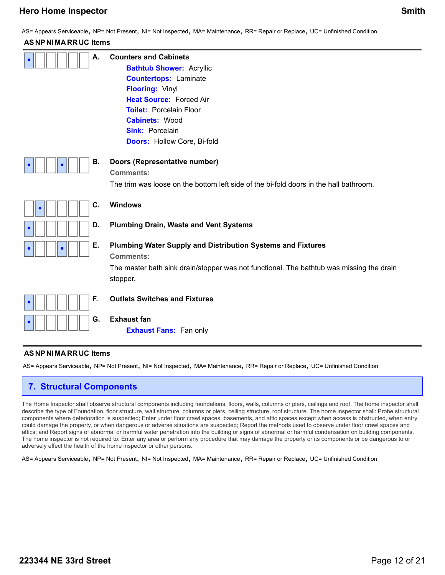AS= Appears Serviceable, NP= Not Present, NI= Not Inspected, MA= Maintenance, RR= Repair or Replace, UC= Unfinished Condition

### **AS NP NI MA RR UC Items**

| А. | <b>Counters and Cabinets</b><br><b>Bathtub Shower: Acryllic</b><br><b>Countertops: Laminate</b><br><b>Flooring: Vinyl</b><br><b>Heat Source: Forced Air</b><br><b>Toilet: Porcelain Floor</b><br><b>Cabinets: Wood</b><br><b>Sink: Porcelain</b><br><b>Doors: Hollow Core, Bi-fold</b> |
|----|----------------------------------------------------------------------------------------------------------------------------------------------------------------------------------------------------------------------------------------------------------------------------------------|
| В. | Doors (Representative number)<br><b>Comments:</b><br>The trim was loose on the bottom left side of the bi-fold doors in the hall bathroom.                                                                                                                                             |
| C. | <b>Windows</b>                                                                                                                                                                                                                                                                         |
| D. | <b>Plumbing Drain, Waste and Vent Systems</b>                                                                                                                                                                                                                                          |
| Е. | Plumbing Water Supply and Distribution Systems and Fixtures<br><b>Comments:</b>                                                                                                                                                                                                        |
|    | The master bath sink drain/stopper was not functional. The bathtub was missing the drain<br>stopper.                                                                                                                                                                                   |
| F. | <b>Outlets Switches and Fixtures</b>                                                                                                                                                                                                                                                   |
| G. | <b>Exhaust fan</b><br><b>Exhaust Fans: Fan only</b>                                                                                                                                                                                                                                    |

#### **AS NP NI MA RR UC Items**

AS= Appears Serviceable, NP= Not Present, NI= Not Inspected, MA= Maintenance, RR= Repair or Replace, UC= Unfinished Condition

### **7. Structural Components**

The Home Inspector shall observe structural components including foundations, floors, walls, columns or piers, ceilings and roof. The home inspector shall describe the type of Foundation, floor structure, wall structure, columns or piers, ceiling structure, roof structure. The home inspector shall: Probe structural components where deterioration is suspected; Enter under floor crawl spaces, basements, and attic spaces except when access is obstructed, when entry could damage the property, or when dangerous or adverse situations are suspected; Report the methods used to observe under floor crawl spaces and attics; and Report signs of abnormal or harmful water penetration into the building or signs of abnormal or harmful condensation on building components. The home inspector is not required to: Enter any area or perform any procedure that may damage the property or its components or be dangerous to or adversely effect the health of the home inspector or other persons.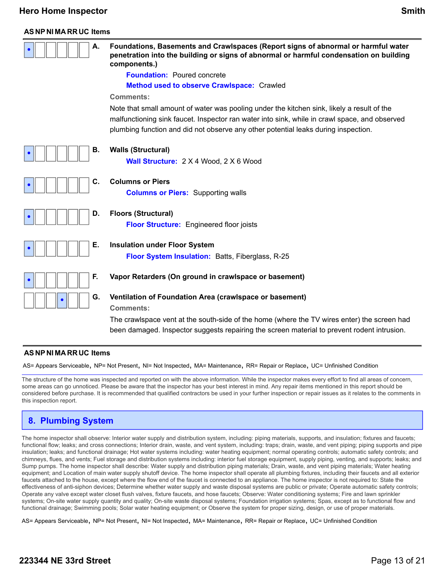#### **AS NP NI MA RR UC Items**

| А. | Foundations, Basements and Crawlspaces (Report signs of abnormal or harmful water<br>penetration into the building or signs of abnormal or harmful condensation on building<br>components.)                                                                                       |
|----|-----------------------------------------------------------------------------------------------------------------------------------------------------------------------------------------------------------------------------------------------------------------------------------|
|    | <b>Foundation:</b> Poured concrete                                                                                                                                                                                                                                                |
|    | Method used to observe Crawlspace: Crawled                                                                                                                                                                                                                                        |
|    | <b>Comments:</b>                                                                                                                                                                                                                                                                  |
|    | Note that small amount of water was pooling under the kitchen sink, likely a result of the<br>malfunctioning sink faucet. Inspector ran water into sink, while in crawl space, and observed<br>plumbing function and did not observe any other potential leaks during inspection. |
| В. | <b>Walls (Structural)</b>                                                                                                                                                                                                                                                         |
|    | Wall Structure: 2 X 4 Wood, 2 X 6 Wood                                                                                                                                                                                                                                            |
| С. | <b>Columns or Piers</b>                                                                                                                                                                                                                                                           |
|    | <b>Columns or Piers:</b> Supporting walls                                                                                                                                                                                                                                         |
| D. | <b>Floors (Structural)</b>                                                                                                                                                                                                                                                        |
|    | <b>Floor Structure:</b> Engineered floor joists                                                                                                                                                                                                                                   |
| Е. | <b>Insulation under Floor System</b>                                                                                                                                                                                                                                              |
|    | Floor System Insulation: Batts, Fiberglass, R-25                                                                                                                                                                                                                                  |
| F. | Vapor Retarders (On ground in crawlspace or basement)                                                                                                                                                                                                                             |
| G. | Ventilation of Foundation Area (crawlspace or basement)<br><b>Comments:</b>                                                                                                                                                                                                       |
|    | The crawlspace vent at the south-side of the home (where the TV wires enter) the screen had                                                                                                                                                                                       |
|    | been damaged. Inspector suggests repairing the screen material to prevent rodent intrusion.                                                                                                                                                                                       |

#### **AS NP NI MA RR UC Items**

AS= Appears Serviceable, NP= Not Present, NI= Not Inspected, MA= Maintenance, RR= Repair or Replace, UC= Unfinished Condition

The structure of the home was inspected and reported on with the above information. While the inspector makes every effort to find all areas of concern, some areas can go unnoticed. Please be aware that the inspector has your best interest in mind. Any repair items mentioned in this report should be considered before purchase. It is recommended that qualified contractors be used in your further inspection or repair issues as it relates to the comments in this inspection report.

### **8. Plumbing System**

The home inspector shall observe: Interior water supply and distribution system, including: piping materials, supports, and insulation; fixtures and faucets; functional flow; leaks; and cross connections; Interior drain, waste, and vent system, including: traps; drain, waste, and vent piping; piping supports and pipe insulation; leaks; and functional drainage; Hot water systems including: water heating equipment; normal operating controls; automatic safety controls; and chimneys, flues, and vents; Fuel storage and distribution systems including: interior fuel storage equipment, supply piping, venting, and supports; leaks; and Sump pumps. The home inspector shall describe: Water supply and distribution piping materials; Drain, waste, and vent piping materials; Water heating equipment; and Location of main water supply shutoff device. The home inspector shall operate all plumbing fixtures, including their faucets and all exterior faucets attached to the house, except where the flow end of the faucet is connected to an appliance. The home inspector is not required to: State the effectiveness of anti-siphon devices; Determine whether water supply and waste disposal systems are public or private; Operate automatic safety controls; Operate any valve except water closet flush valves, fixture faucets, and hose faucets; Observe: Water conditioning systems; Fire and lawn sprinkler systems; On-site water supply quantity and quality; On-site waste disposal systems; Foundation irrigation systems; Spas, except as to functional flow and functional drainage; Swimming pools; Solar water heating equipment; or Observe the system for proper sizing, design, or use of proper materials.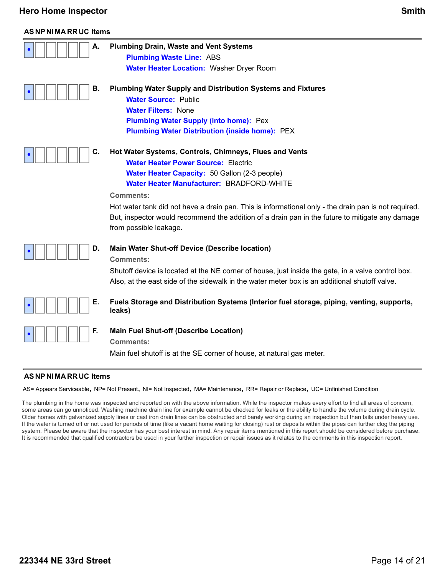### **AS NP NI MA RR UC Items**

| Α. | <b>Plumbing Drain, Waste and Vent Systems</b>                                                                             |
|----|---------------------------------------------------------------------------------------------------------------------------|
|    | <b>Plumbing Waste Line: ABS</b>                                                                                           |
|    | <b>Water Heater Location: Washer Dryer Room</b>                                                                           |
| В. | <b>Plumbing Water Supply and Distribution Systems and Fixtures</b>                                                        |
|    | <b>Water Source: Public</b>                                                                                               |
|    | <b>Water Filters: None</b>                                                                                                |
|    | <b>Plumbing Water Supply (into home): Pex</b>                                                                             |
|    | <b>Plumbing Water Distribution (inside home): PEX</b>                                                                     |
| C. | Hot Water Systems, Controls, Chimneys, Flues and Vents                                                                    |
|    | <b>Water Heater Power Source: Electric</b>                                                                                |
|    | Water Heater Capacity: 50 Gallon (2-3 people)                                                                             |
|    | Water Heater Manufacturer: BRADFORD-WHITE                                                                                 |
|    | <b>Comments:</b>                                                                                                          |
|    | Hot water tank did not have a drain pan. This is informational only - the drain pan is not required.                      |
|    | But, inspector would recommend the addition of a drain pan in the future to mitigate any damage<br>from possible leakage. |
| D. | <b>Main Water Shut-off Device (Describe location)</b>                                                                     |
|    | <b>Comments:</b>                                                                                                          |
|    | Shutoff device is located at the NE corner of house, just inside the gate, in a valve control box.                        |
|    | Also, at the east side of the sidewalk in the water meter box is an additional shutoff valve.                             |
|    |                                                                                                                           |
| Е. | Fuels Storage and Distribution Systems (Interior fuel storage, piping, venting, supports,<br>leaks)                       |
| F. | <b>Main Fuel Shut-off (Describe Location)</b>                                                                             |
|    | <b>Comments:</b>                                                                                                          |
|    | Main fuel shutoff is at the SE corner of house, at natural gas meter.                                                     |

#### **AS NP NI MA RR UC Items**

AS= Appears Serviceable, NP= Not Present, NI= Not Inspected, MA= Maintenance, RR= Repair or Replace, UC= Unfinished Condition

The plumbing in the home was inspected and reported on with the above information. While the inspector makes every effort to find all areas of concern, some areas can go unnoticed. Washing machine drain line for example cannot be checked for leaks or the ability to handle the volume during drain cycle. Older homes with galvanized supply lines or cast iron drain lines can be obstructed and barely working during an inspection but then fails under heavy use. If the water is turned off or not used for periods of time (like a vacant home waiting for closing) rust or deposits within the pipes can further clog the piping system. Please be aware that the inspector has your best interest in mind. Any repair items mentioned in this report should be considered before purchase. It is recommended that qualified contractors be used in your further inspection or repair issues as it relates to the comments in this inspection report.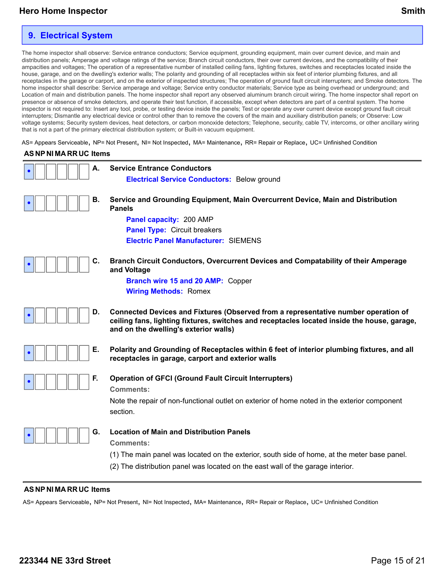### **9. Electrical System**

The home inspector shall observe: Service entrance conductors; Service equipment, grounding equipment, main over current device, and main and distribution panels; Amperage and voltage ratings of the service; Branch circuit conductors, their over current devices, and the compatibility of their ampacities and voltages; The operation of a representative number of installed ceiling fans, lighting fixtures, switches and receptacles located inside the house, garage, and on the dwelling's exterior walls; The polarity and grounding of all receptacles within six feet of interior plumbing fixtures, and all receptacles in the garage or carport, and on the exterior of inspected structures; The operation of ground fault circuit interrupters; and Smoke detectors. The home inspector shall describe: Service amperage and voltage; Service entry conductor materials; Service type as being overhead or underground; and Location of main and distribution panels. The home inspector shall report any observed aluminum branch circuit wiring. The home inspector shall report on presence or absence of smoke detectors, and operate their test function, if accessible, except when detectors are part of a central system. The home inspector is not required to: Insert any tool, probe, or testing device inside the panels; Test or operate any over current device except ground fault circuit interrupters; Dismantle any electrical device or control other than to remove the covers of the main and auxiliary distribution panels; or Observe: Low voltage systems; Security system devices, heat detectors, or carbon monoxide detectors; Telephone, security, cable TV, intercoms, or other ancillary wiring that is not a part of the primary electrical distribution system; or Built-in vacuum equipment.

AS= Appears Serviceable, NP= Not Present, NI= Not Inspected, MA= Maintenance, RR= Repair or Replace, UC= Unfinished Condition

#### **AS NP NI MA RR UC Items**



#### **AS NP NI MA RR UC Items**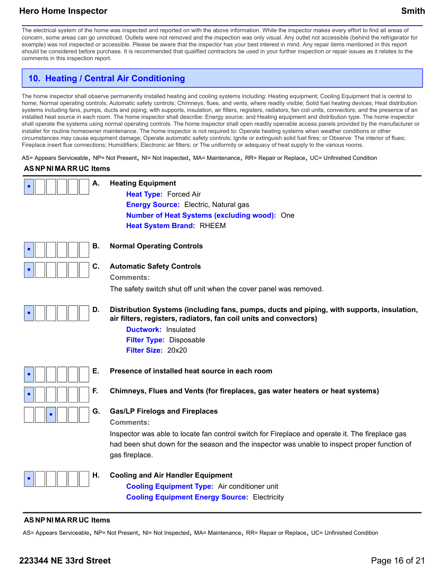The electrical system of the home was inspected and reported on with the above information. While the inspector makes every effort to find all areas of concern, some areas can go unnoticed. Outlets were not removed and the inspection was only visual. Any outlet not accessible (behind the refrigerator for example) was not inspected or accessible. Please be aware that the inspector has your best interest in mind. Any repair items mentioned in this report should be considered before purchase. It is recommended that qualified contractors be used in your further inspection or repair issues as it relates to the comments in this inspection report.

## **10. Heating / Central Air Conditioning**

The home inspector shall observe permanently installed heating and cooling systems including: Heating equipment; Cooling Equipment that is central to home; Normal operating controls; Automatic safety controls; Chimneys, flues, and vents, where readily visible; Solid fuel heating devices; Heat distribution systems including fans, pumps, ducts and piping, with supports, insulation, air filters, registers, radiators, fan coil units, convectors; and the presence of an installed heat source in each room. The home inspector shall describe: Energy source; and Heating equipment and distribution type. The home inspector shall operate the systems using normal operating controls. The home inspector shall open readily openable access panels provided by the manufacturer or installer for routine homeowner maintenance. The home inspector is not required to: Operate heating systems when weather conditions or other circumstances may cause equipment damage; Operate automatic safety controls; Ignite or extinguish solid fuel fires; or Observe: The interior of flues; Fireplace insert flue connections; Humidifiers; Electronic air filters; or The uniformity or adequacy of heat supply to the various rooms.

AS= Appears Serviceable, NP= Not Present, NI= Not Inspected, MA= Maintenance, RR= Repair or Replace, UC= Unfinished Condition

### **AS NP NI MA RR UC Items**



### **AS NP NI MA RR UC Items**

AS= Appears Serviceable, NP= Not Present, NI= Not Inspected, MA= Maintenance, RR= Repair or Replace, UC= Unfinished Condition

### **223344 NE 33rd Street** Page 16 of 21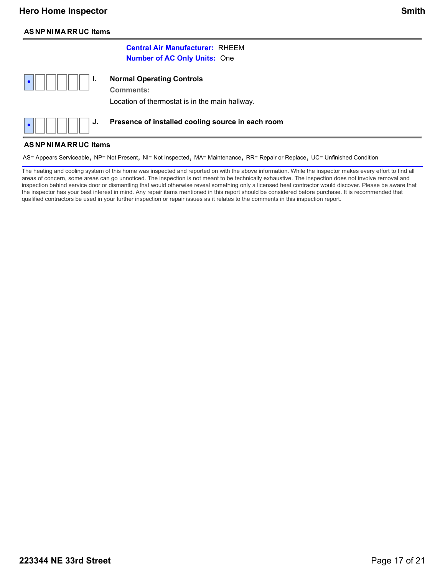### **AS NP NI MA RR UC Items**

### **Central Air Manufacturer:** RHEEM **Number of AC Only Units:** One

| <b>Comments:</b><br>Location of thermostat is in the main hallway.                                                         |
|----------------------------------------------------------------------------------------------------------------------------|
| $\bullet$ $\parallel$ $\parallel$ $\parallel$ $\parallel$ $\parallel$ J. Presence of installed cooling source in each room |

### **AS NP NI MA RR UC Items**

**•**

AS= Appears Serviceable, NP= Not Present, NI= Not Inspected, MA= Maintenance, RR= Repair or Replace, UC= Unfinished Condition

The heating and cooling system of this home was inspected and reported on with the above information. While the inspector makes every effort to find all areas of concern, some areas can go unnoticed. The inspection is not meant to be technically exhaustive. The inspection does not involve removal and inspection behind service door or dismantling that would otherwise reveal something only a licensed heat contractor would discover. Please be aware that the inspector has your best interest in mind. Any repair items mentioned in this report should be considered before purchase. It is recommended that qualified contractors be used in your further inspection or repair issues as it relates to the comments in this inspection report.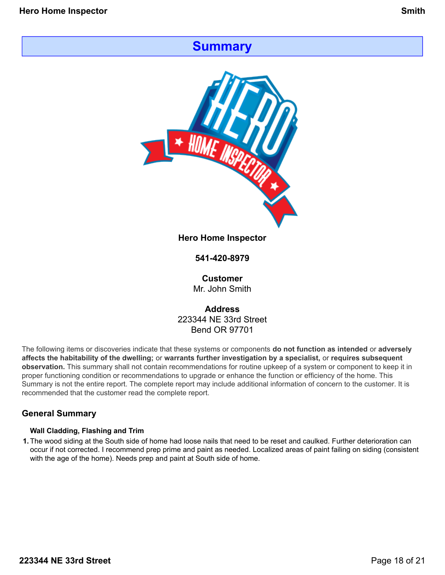# **Summary**



**Hero Home Inspector**

**541-420-8979**

**Customer** Mr. John Smith

**Address** 223344 NE 33rd Street Bend OR 97701

The following items or discoveries indicate that these systems or components **do not function as intended** or **adversely affects the habitability of the dwelling;** or **warrants further investigation by a specialist,** or **requires subsequent observation.** This summary shall not contain recommendations for routine upkeep of a system or component to keep it in proper functioning condition or recommendations to upgrade or enhance the function or efficiency of the home. This Summary is not the entire report. The complete report may include additional information of concern to the customer. It is recommended that the customer read the complete report.

### **General Summary**

### **Wall Cladding, Flashing and Trim**

**1.**The wood siding at the South side of home had loose nails that need to be reset and caulked. Further deterioration can occur if not corrected. I recommend prep prime and paint as needed. Localized areas of paint failing on siding (consistent with the age of the home). Needs prep and paint at South side of home.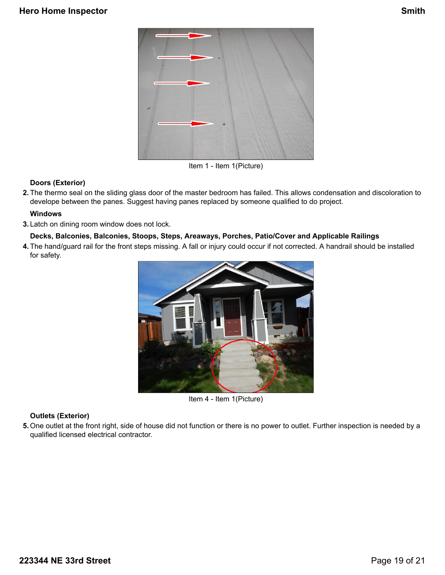

Item 1 - Item 1(Picture)

### **Doors (Exterior)**

**2.**The thermo seal on the sliding glass door of the master bedroom has failed. This allows condensation and discoloration to develope between the panes. Suggest having panes replaced by someone qualified to do project.

#### **Windows**

**3.**Latch on dining room window does not lock.

### **Decks, Balconies, Balconies, Stoops, Steps, Areaways, Porches, Patio/Cover and Applicable Railings**

**4.**The hand/guard rail for the front steps missing. A fall or injury could occur if not corrected. A handrail should be installed for safety.



Item 4 - Item 1(Picture)

### **Outlets (Exterior)**

**5.**One outlet at the front right, side of house did not function or there is no power to outlet. Further inspection is needed by a qualified licensed electrical contractor.